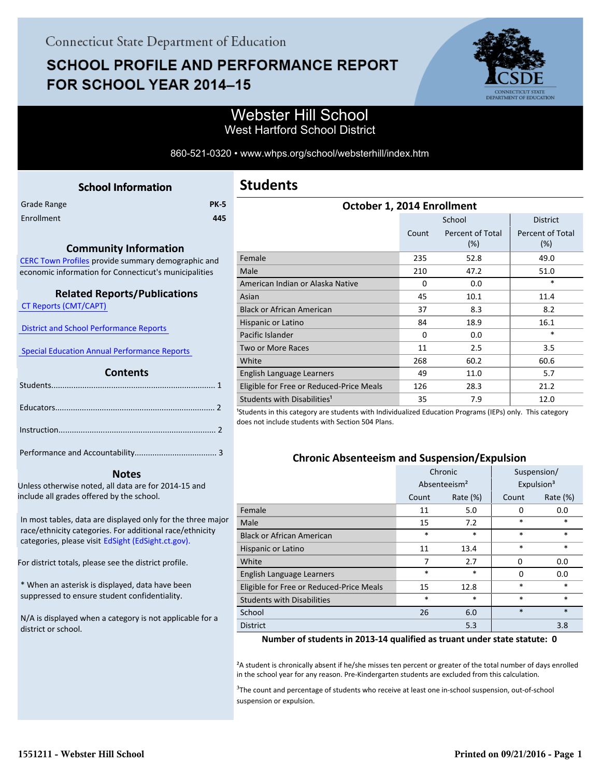# **SCHOOL PROFILE AND PERFORMANCE REPORT** FOR SCHOOL YEAR 2014-15



## Webster Hill School West Hartford School District

860-521-0320 • www.whps.org/school/websterhill/index.htm

<span id="page-0-0"></span>

|             | <b>School Information</b> |             |
|-------------|---------------------------|-------------|
| Grade Range |                           | <b>PK-5</b> |
| Enrollment  |                           | 445         |
|             |                           |             |

#### **Community Information**

[CERC Town Profiles provide summary demographic and](http://www.cerc.com/townprofiles/) economic information for Connecticut's municipalities

### **Related Reports/Publications**

 [CT Reports \(CMT/CAPT\)](http://ctreports.com/) 

 [District and School Performance Reports](http://www.csde.state.ct.us/public/performancereports/reports.asp) 

 [Special Education Annual Performance Reports](http://edsight.ct.gov/SASPortal/main.do) 

#### **Contents**

 **Notes**

Unless otherwise noted, all data are for 2014-15 and include all grades offered by the school.

[In most tables, data are displayed only for the three major](http://edsight.ct.gov) race/ethnicity categories. For additional race/ethnicity categories, please visit EdSight (EdSight.ct.gov).

For district totals, please see the district profile.

\* When an asterisk is displayed, data have been suppressed to ensure student confidentiality.

N/A is displayed when a category is not applicable for a district or school.

| October 1, 2014 Enrollment               |       |                            |                         |  |  |  |
|------------------------------------------|-------|----------------------------|-------------------------|--|--|--|
|                                          |       | School                     | <b>District</b>         |  |  |  |
|                                          | Count | Percent of Total<br>$(\%)$ | Percent of Total<br>(%) |  |  |  |
| Female                                   | 235   | 52.8                       | 49.0                    |  |  |  |
| Male                                     | 210   | 47.2                       | 51.0                    |  |  |  |
| American Indian or Alaska Native         | 0     | 0.0                        | *                       |  |  |  |
| Asian                                    | 45    | 10.1                       | 11.4                    |  |  |  |
| <b>Black or African American</b>         | 37    | 8.3                        | 8.2                     |  |  |  |
| Hispanic or Latino                       | 84    | 18.9                       | 16.1                    |  |  |  |
| Pacific Islander                         | 0     | 0.0                        | *                       |  |  |  |
| Two or More Races                        | 11    | 2.5                        | 3.5                     |  |  |  |
| White                                    | 268   | 60.2                       | 60.6                    |  |  |  |
| English Language Learners                | 49    | 11.0                       | 5.7                     |  |  |  |
| Eligible for Free or Reduced-Price Meals | 126   | 28.3                       | 21.2                    |  |  |  |
| Students with Disabilities <sup>1</sup>  | 35    | 7.9                        | 12.0                    |  |  |  |

<sup>1</sup>Students in this category are students with Individualized Education Programs (IEPs) only. This category does not include students with Section 504 Plans.

#### **Chronic Absenteeism and Suspension/Expulsion**

|                                          | Chronic                  |          | Suspension/ |                        |
|------------------------------------------|--------------------------|----------|-------------|------------------------|
|                                          | Absenteeism <sup>2</sup> |          |             | Expulsion <sup>3</sup> |
|                                          | Count                    | Rate (%) | Count       | Rate $(\%)$            |
| Female                                   | 11                       | 5.0      | $\Omega$    | 0.0                    |
| Male                                     | 15                       | 7.2      | *           | $\ast$                 |
| <b>Black or African American</b>         | $\ast$                   | *        | $\ast$      | $\ast$                 |
| Hispanic or Latino                       | 11                       | 13.4     | *           | $\ast$                 |
| White                                    | 7                        | 2.7      | $\Omega$    | 0.0                    |
| English Language Learners                | $\ast$                   | *        | $\Omega$    | 0.0                    |
| Eligible for Free or Reduced-Price Meals | 15                       | 12.8     | *           | $\ast$                 |
| <b>Students with Disabilities</b>        | $\ast$                   | *        | *           | $\ast$                 |
| School                                   | 26                       | 6.0      | $\ast$      | $\ast$                 |
| <b>District</b>                          |                          | 5.3      |             | 3.8                    |

**Number of students in 2013-14 qualified as truant under state statute: 0**

²A student is chronically absent if he/she misses ten percent or greater of the total number of days enrolled in the school year for any reason. Pre-Kindergarten students are excluded from this calculation.

<sup>3</sup>The count and percentage of students who receive at least one in-school suspension, out-of-school suspension or expulsion.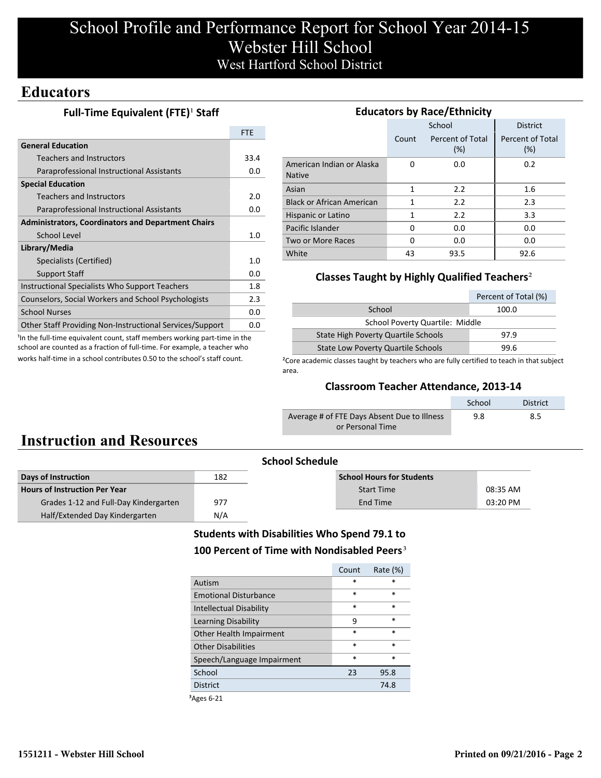# School Profile and Performance Report for School Year 2014-15 Webster Hill School West Hartford School District

## **Educators**

### **Full-Time Equivalent (FTE)<sup>1</sup> Staff**

|                                                           | <b>FTF</b> |
|-----------------------------------------------------------|------------|
| <b>General Education</b>                                  |            |
| Teachers and Instructors                                  | 33.4       |
| Paraprofessional Instructional Assistants                 | 0.0        |
| <b>Special Education</b>                                  |            |
| <b>Teachers and Instructors</b>                           | 2.0        |
| Paraprofessional Instructional Assistants                 | 0.0        |
| <b>Administrators, Coordinators and Department Chairs</b> |            |
| School Level                                              |            |
| Library/Media                                             |            |
| Specialists (Certified)                                   | 1.0        |
| <b>Support Staff</b>                                      | 0.0        |
| Instructional Specialists Who Support Teachers            | 1.8        |
| Counselors, Social Workers and School Psychologists       |            |
| <b>School Nurses</b>                                      | 0.0        |
| Other Staff Providing Non-Instructional Services/Support  | 0.0        |

<sup>1</sup>In the full-time equivalent count, staff members working part-time in the school are counted as a fraction of full-time. For example, a teacher who works half-time in a school contributes 0.50 to the school's staff count.

| <b>Educators by Race/Ethnicity</b>         |       |                         |                         |  |  |  |
|--------------------------------------------|-------|-------------------------|-------------------------|--|--|--|
|                                            |       | School                  | <b>District</b>         |  |  |  |
|                                            | Count | Percent of Total<br>(%) | Percent of Total<br>(%) |  |  |  |
| American Indian or Alaska<br><b>Native</b> | O     | 0.0                     | 0.2                     |  |  |  |
| Asian                                      | 1     | 2.2                     | 1.6                     |  |  |  |
| <b>Black or African American</b>           | 1     | 2.2                     | 2.3                     |  |  |  |
| Hispanic or Latino                         | 1     | 2.2                     | 3.3                     |  |  |  |
| Pacific Islander                           | 0     | 0.0                     | 0.0                     |  |  |  |
| Two or More Races                          | O     | 0.0                     | 0.0                     |  |  |  |
| White                                      | 43    | 93.5                    | 92.6                    |  |  |  |

### **Classes Taught by Highly Qualified Teachers**²

|                                            | Percent of Total (%) |  |  |  |
|--------------------------------------------|----------------------|--|--|--|
| School                                     | 100.0                |  |  |  |
| School Poverty Quartile: Middle            |                      |  |  |  |
| <b>State High Poverty Quartile Schools</b> | 97.9                 |  |  |  |
| <b>State Low Poverty Quartile Schools</b>  | 99 R                 |  |  |  |

<sup>2</sup>Core academic classes taught by teachers who are fully certified to teach in that subject area.

#### **Classroom Teacher Attendance, 2013-14**

|                                             | School | <b>District</b> |
|---------------------------------------------|--------|-----------------|
| Average # of FTE Days Absent Due to Illness | 9.8    | 8.5             |
| or Personal Time                            |        |                 |

# **Instruction and Resources**

| <b>School Schedule</b>                |     |                                  |          |  |
|---------------------------------------|-----|----------------------------------|----------|--|
| Days of Instruction                   | 182 | <b>School Hours for Students</b> |          |  |
| <b>Hours of Instruction Per Year</b>  |     | <b>Start Time</b>                | 08:35 AM |  |
| Grades 1-12 and Full-Day Kindergarten | 977 | End Time                         | 03:20 PM |  |
| Half/Extended Day Kindergarten        | N/A |                                  |          |  |

### **Students with Disabilities Who Spend 79.1 to** 100 Percent of Time with Nondisabled Peers<sup>3</sup>

|                                | Count  | Rate $(\%)$ |
|--------------------------------|--------|-------------|
| Autism                         | $\ast$ | $\ast$      |
| <b>Emotional Disturbance</b>   | $\ast$ | $\ast$      |
| <b>Intellectual Disability</b> | $\ast$ | $\ast$      |
| Learning Disability            | 9      | $\ast$      |
| Other Health Impairment        | $\ast$ | $\ast$      |
| Other Disabilities             | $\ast$ | $\ast$      |
| Speech/Language Impairment     | $\ast$ | $\ast$      |
| School                         | 23     | 95.8        |
| <b>District</b>                |        | 74.8        |
|                                |        |             |

³Ages 6-21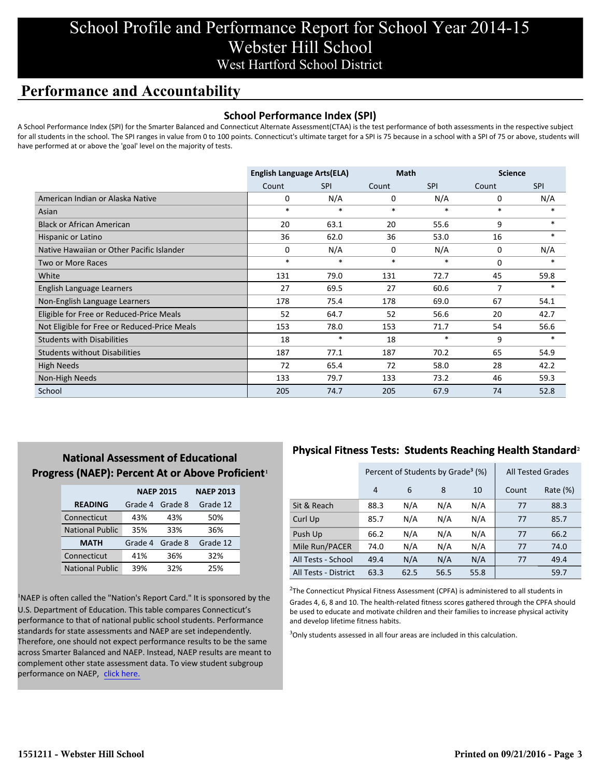# School Profile and Performance Report for School Year 2014-15 Webster Hill School West Hartford School District

# **Performance and Accountability**

### **School Performance Index (SPI)**

A School Performance Index (SPI) for the Smarter Balanced and Connecticut Alternate Assessment(CTAA) is the test performance of both assessments in the respective subject for all students in the school. The SPI ranges in value from 0 to 100 points. Connecticut's ultimate target for a SPI is 75 because in a school with a SPI of 75 or above, students will have performed at or above the 'goal' level on the majority of tests.

|                                              | <b>English Language Arts(ELA)</b> |            | <b>Math</b> |            | <b>Science</b> |            |
|----------------------------------------------|-----------------------------------|------------|-------------|------------|----------------|------------|
|                                              | Count                             | <b>SPI</b> | Count       | <b>SPI</b> | Count          | <b>SPI</b> |
| American Indian or Alaska Native             | 0                                 | N/A        | 0           | N/A        | 0              | N/A        |
| Asian                                        | $\ast$                            | $\ast$     | $\ast$      | $\ast$     | $\ast$         | $\ast$     |
| <b>Black or African American</b>             | 20                                | 63.1       | 20          | 55.6       | 9              | $\ast$     |
| Hispanic or Latino                           | 36                                | 62.0       | 36          | 53.0       | 16             | $\ast$     |
| Native Hawaiian or Other Pacific Islander    | 0                                 | N/A        | 0           | N/A        | 0              | N/A        |
| Two or More Races                            | $\ast$                            | $\ast$     | $\ast$      | $\ast$     | $\Omega$       | *          |
| White                                        | 131                               | 79.0       | 131         | 72.7       | 45             | 59.8       |
| English Language Learners                    | 27                                | 69.5       | 27          | 60.6       | 7              | $*$        |
| Non-English Language Learners                | 178                               | 75.4       | 178         | 69.0       | 67             | 54.1       |
| Eligible for Free or Reduced-Price Meals     | 52                                | 64.7       | 52          | 56.6       | 20             | 42.7       |
| Not Eligible for Free or Reduced-Price Meals | 153                               | 78.0       | 153         | 71.7       | 54             | 56.6       |
| <b>Students with Disabilities</b>            | 18                                | $\ast$     | 18          | $\ast$     | 9              |            |
| <b>Students without Disabilities</b>         | 187                               | 77.1       | 187         | 70.2       | 65             | 54.9       |
| <b>High Needs</b>                            | 72                                | 65.4       | 72          | 58.0       | 28             | 42.2       |
| Non-High Needs                               | 133                               | 79.7       | 133         | 73.2       | 46             | 59.3       |
| School                                       | 205                               | 74.7       | 205         | 67.9       | 74             | 52.8       |

### **National Assessment of Educational Progress (NAEP): Percent At or Above Proficient1**

|                        | <b>NAEP 2015</b> | <b>NAEP 2013</b> |          |
|------------------------|------------------|------------------|----------|
| <b>READING</b>         | Grade 4          | Grade 8          | Grade 12 |
| Connecticut            | 43%              | 43%              | 50%      |
| <b>National Public</b> | 35%              | 33%              | 36%      |
| <b>MATH</b>            | Grade 4          | Grade 8          | Grade 12 |
| Connecticut            | 41%              | 36%              | 32%      |
| <b>National Public</b> | 39%              | 32%              | 25%      |

<sup>1</sup>NAEP is often called the "Nation's Report Card." It is sponsored by the U.S. Department of Education. This table compares Connecticut's performance to that of national public school students. Performance standards for state assessments and NAEP are set independently. Therefore, one should not expect performance results to be the same across Smarter Balanced and NAEP. Instead, NAEP results are meant to complement other state assessment data. To view student subgroup performance on NAEP, click here.

### **Physical Fitness Tests: Students Reaching Health Standard**²

|                      | Percent of Students by Grade <sup>3</sup> (%) |      |      |      | <b>All Tested Grades</b> |          |
|----------------------|-----------------------------------------------|------|------|------|--------------------------|----------|
|                      | 4                                             | 6    | 8    | 10   | Count                    | Rate (%) |
| Sit & Reach          | 88.3                                          | N/A  | N/A  | N/A  | 77                       | 88.3     |
| Curl Up              | 85.7                                          | N/A  | N/A  | N/A  | 77                       | 85.7     |
| Push Up              | 66.2                                          | N/A  | N/A  | N/A  | 77                       | 66.2     |
| Mile Run/PACER       | 74.0                                          | N/A  | N/A  | N/A  | 77                       | 74.0     |
| All Tests - School   | 49.4                                          | N/A  | N/A  | N/A  | 77                       | 49.4     |
| All Tests - District | 63.3                                          | 62.5 | 56.5 | 55.8 |                          | 59.7     |

 $2$ The Connecticut Physical Fitness Assessment (CPFA) is administered to all students in Grades 4, 6, 8 and 10. The health-related fitness scores gathered through the CPFA should be used to educate and motivate children and their families to increase physical activity and develop lifetime fitness habits.

<sup>3</sup>Only students assessed in all four areas are included in this calculation.